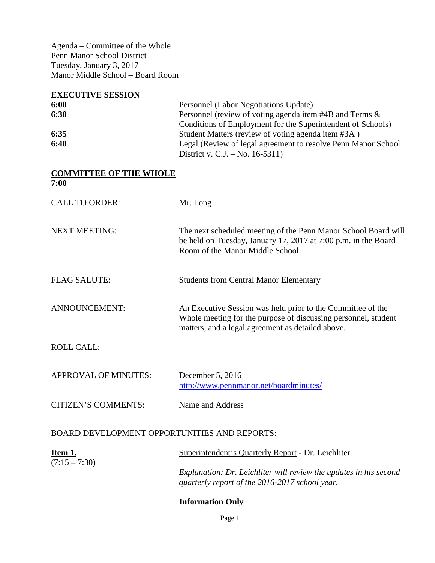Agenda – Committee of the Whole Penn Manor School District Tuesday, January 3, 2017 Manor Middle School – Board Room

| <b>EXECUTIVE SESSION</b>                            |                                                                                                                                                                                    |
|-----------------------------------------------------|------------------------------------------------------------------------------------------------------------------------------------------------------------------------------------|
| 6:00                                                | Personnel (Labor Negotiations Update)                                                                                                                                              |
| 6:30                                                | Personnel (review of voting agenda item #4B and Terms &<br>Conditions of Employment for the Superintendent of Schools)                                                             |
| 6:35                                                | Student Matters (review of voting agenda item #3A)                                                                                                                                 |
| 6:40                                                | Legal (Review of legal agreement to resolve Penn Manor School<br>District v. C.J. – No. 16-5311)                                                                                   |
| <b>COMMITTEE OF THE WHOLE</b><br>7:00               |                                                                                                                                                                                    |
|                                                     |                                                                                                                                                                                    |
| <b>CALL TO ORDER:</b>                               | Mr. Long                                                                                                                                                                           |
| <b>NEXT MEETING:</b>                                | The next scheduled meeting of the Penn Manor School Board will<br>be held on Tuesday, January 17, 2017 at 7:00 p.m. in the Board<br>Room of the Manor Middle School.               |
| <b>FLAG SALUTE:</b>                                 | <b>Students from Central Manor Elementary</b>                                                                                                                                      |
| ANNOUNCEMENT:                                       | An Executive Session was held prior to the Committee of the<br>Whole meeting for the purpose of discussing personnel, student<br>matters, and a legal agreement as detailed above. |
| <b>ROLL CALL:</b>                                   |                                                                                                                                                                                    |
| <b>APPROVAL OF MINUTES:</b>                         | December 5, 2016                                                                                                                                                                   |
|                                                     | http://www.pennmanor.net/boardminutes/                                                                                                                                             |
| <b>CITIZEN'S COMMENTS:</b>                          | Name and Address                                                                                                                                                                   |
| <b>BOARD DEVELOPMENT OPPORTUNITIES AND REPORTS:</b> |                                                                                                                                                                                    |
| Item 1.                                             | Superintendent's Quarterly Report - Dr. Leichliter                                                                                                                                 |
| $(7:15 - 7:30)$                                     | Explanation: Dr. Leichliter will review the updates in his second<br>quarterly report of the 2016-2017 school year.                                                                |
|                                                     | <b>Information Only</b>                                                                                                                                                            |

Page 1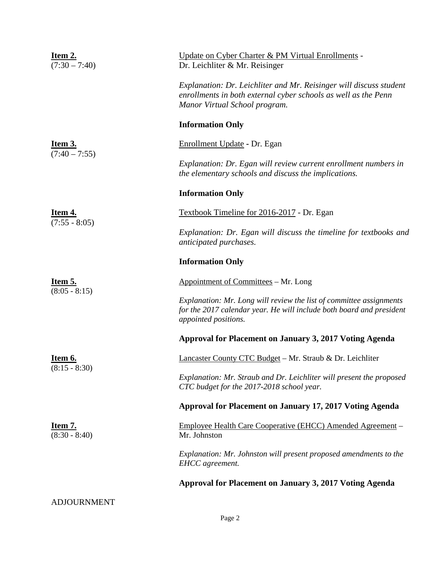| <u>Item 2.</u><br>$(7:30 - 7:40)$ | Update on Cyber Charter & PM Virtual Enrollments -<br>Dr. Leichliter & Mr. Reisinger                                                                                  |  |  |  |
|-----------------------------------|-----------------------------------------------------------------------------------------------------------------------------------------------------------------------|--|--|--|
|                                   | Explanation: Dr. Leichliter and Mr. Reisinger will discuss student<br>enrollments in both external cyber schools as well as the Penn<br>Manor Virtual School program. |  |  |  |
|                                   | <b>Information Only</b>                                                                                                                                               |  |  |  |
| <b>Item 3.</b><br>$(7:40-7:55)$   | Enrollment Update - Dr. Egan                                                                                                                                          |  |  |  |
|                                   | Explanation: Dr. Egan will review current enrollment numbers in<br>the elementary schools and discuss the implications.                                               |  |  |  |
|                                   | <b>Information Only</b>                                                                                                                                               |  |  |  |
| <b>Item 4.</b><br>$(7:55 - 8:05)$ | Textbook Timeline for 2016-2017 - Dr. Egan                                                                                                                            |  |  |  |
|                                   | Explanation: Dr. Egan will discuss the timeline for textbooks and<br>anticipated purchases.                                                                           |  |  |  |
|                                   | <b>Information Only</b>                                                                                                                                               |  |  |  |
| <b>Item 5.</b><br>$(8:05 - 8:15)$ | Appointment of Committees - Mr. Long                                                                                                                                  |  |  |  |
|                                   | Explanation: Mr. Long will review the list of committee assignments<br>for the 2017 calendar year. He will include both board and president<br>appointed positions.   |  |  |  |
|                                   | Approval for Placement on January 3, 2017 Voting Agenda                                                                                                               |  |  |  |
| <u>Item 6.</u>                    | <b>Lancaster County CTC Budget – Mr. Straub &amp; Dr. Leichliter</b>                                                                                                  |  |  |  |
| $(8:15 - 8:30)$                   | Explanation: Mr. Straub and Dr. Leichliter will present the proposed<br>CTC budget for the 2017-2018 school year.                                                     |  |  |  |
|                                   | Approval for Placement on January 17, 2017 Voting Agenda                                                                                                              |  |  |  |
| Item 7.<br>$(8:30 - 8:40)$        | Employee Health Care Cooperative (EHCC) Amended Agreement -<br>Mr. Johnston                                                                                           |  |  |  |
|                                   | Explanation: Mr. Johnston will present proposed amendments to the<br>EHCC agreement.                                                                                  |  |  |  |
|                                   | Approval for Placement on January 3, 2017 Voting Agenda                                                                                                               |  |  |  |
| <b>ADJOURNMENT</b>                |                                                                                                                                                                       |  |  |  |
|                                   | Page 2                                                                                                                                                                |  |  |  |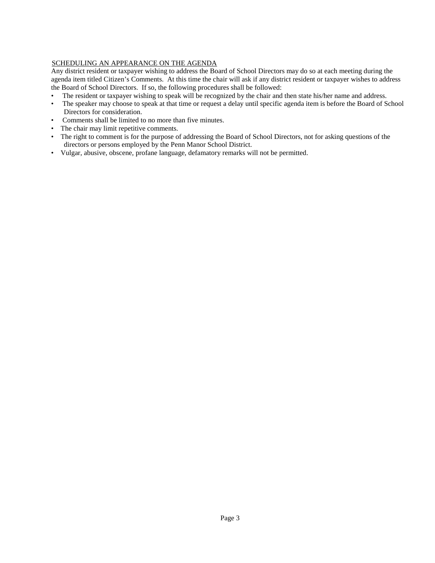## SCHEDULING AN APPEARANCE ON THE AGENDA

Any district resident or taxpayer wishing to address the Board of School Directors may do so at each meeting during the agenda item titled Citizen's Comments. At this time the chair will ask if any district resident or taxpayer wishes to address the Board of School Directors. If so, the following procedures shall be followed:

- The resident or taxpayer wishing to speak will be recognized by the chair and then state his/her name and address.
- The speaker may choose to speak at that time or request a delay until specific agenda item is before the Board of School Directors for consideration.
- Comments shall be limited to no more than five minutes.
- The chair may limit repetitive comments.
- The right to comment is for the purpose of addressing the Board of School Directors, not for asking questions of the directors or persons employed by the Penn Manor School District.
- Vulgar, abusive, obscene, profane language, defamatory remarks will not be permitted.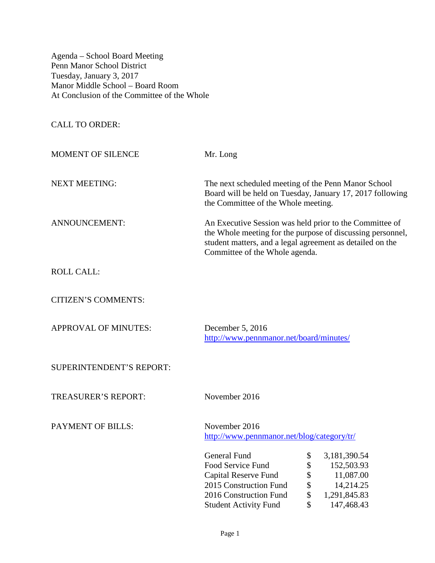Agenda – School Board Meeting Penn Manor School District Tuesday, January 3, 2017 Manor Middle School – Board Room At Conclusion of the Committee of the Whole

CALL TO ORDER:

MOMENT OF SILENCE Mr. Long NEXT MEETING: The next scheduled meeting of the Penn Manor School Board will be held on Tuesday, January 17, 2017 following the Committee of the Whole meeting. ANNOUNCEMENT: An Executive Session was held prior to the Committee of the Whole meeting for the purpose of discussing personnel, student matters, and a legal agreement as detailed on the Committee of the Whole agenda.

ROLL CALL:

CITIZEN'S COMMENTS:

APPROVAL OF MINUTES: December 5, 2016

<http://www.pennmanor.net/board/minutes/>

SUPERINTENDENT'S REPORT:

TREASURER'S REPORT: November 2016

PAYMENT OF BILLS: November 2016

<http://www.pennmanor.net/blog/category/tr/>

| <b>General Fund</b>          | S  | 3,181,390.54 |
|------------------------------|----|--------------|
| Food Service Fund            | \$ | 152,503.93   |
| Capital Reserve Fund         | \$ | 11,087.00    |
| 2015 Construction Fund       | \$ | 14,214.25    |
| 2016 Construction Fund       | S  | 1,291,845.83 |
| <b>Student Activity Fund</b> | S  | 147,468.43   |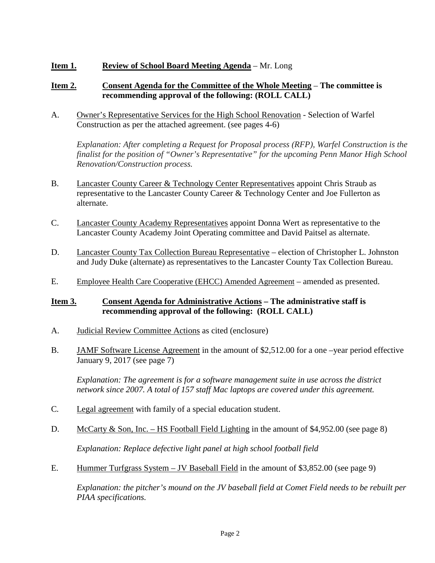# **Item 1. Review of School Board Meeting Agenda** – Mr. Long

## **Item 2. Consent Agenda for the Committee of the Whole Meeting** – **The committee is recommending approval of the following: (ROLL CALL)**

A. Owner's Representative Services for the High School Renovation - Selection of Warfel Construction as per the attached agreement. (see pages 4-6)

*Explanation: After completing a Request for Proposal process (RFP), Warfel Construction is the finalist for the position of "Owner's Representative" for the upcoming Penn Manor High School Renovation/Construction process.* 

- B. Lancaster County Career & Technology Center Representatives appoint Chris Straub as representative to the Lancaster County Career & Technology Center and Joe Fullerton as alternate.
- C. Lancaster County Academy Representatives appoint Donna Wert as representative to the Lancaster County Academy Joint Operating committee and David Paitsel as alternate.
- D. Lancaster County Tax Collection Bureau Representative election of Christopher L. Johnston and Judy Duke (alternate) as representatives to the Lancaster County Tax Collection Bureau.
- E. Employee Health Care Cooperative (EHCC) Amended Agreement amended as presented.

# **Item 3. Consent Agenda for Administrative Actions – The administrative staff is recommending approval of the following: (ROLL CALL)**

- A. Judicial Review Committee Actions as cited (enclosure)
- B. JAMF Software License Agreement in the amount of \$2,512.00 for a one –year period effective January 9, 2017 (see page 7)

*Explanation: The agreement is for a software management suite in use across the district network since 2007. A total of 157 staff Mac laptops are covered under this agreement.*

- C*.* Legal agreement with family of a special education student.
- D. McCarty & Son, Inc. HS Football Field Lighting in the amount of \$4,952.00 (see page 8)

*Explanation: Replace defective light panel at high school football field*

E. Hummer Turfgrass System – JV Baseball Field in the amount of \$3,852.00 (see page 9)

*Explanation: the pitcher's mound on the JV baseball field at Comet Field needs to be rebuilt per PIAA specifications.*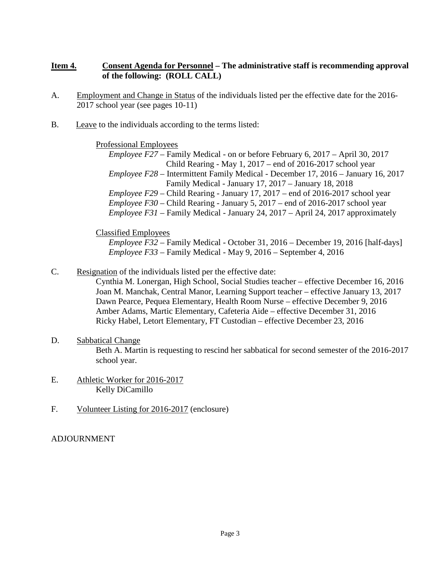# **Item 4. Consent Agenda for Personnel – The administrative staff is recommending approval of the following: (ROLL CALL)**

- A. Employment and Change in Status of the individuals listed per the effective date for the 2016- 2017 school year (see pages 10-11)
- B. Leave to the individuals according to the terms listed:

Professional Employees

*Employee F27* – Family Medical - on or before February 6, 2017 – April 30, 2017 Child Rearing - May 1, 2017 – end of 2016-2017 school year *Employee F28* – Intermittent Family Medical - December 17, 2016 – January 16, 2017 Family Medical - January 17, 2017 – January 18, 2018 *Employee F29* – Child Rearing - January 17, 2017 – end of 2016-2017 school year *Employee F30* – Child Rearing - January 5, 2017 – end of 2016-2017 school year *Employee F31* – Family Medical - January 24, 2017 – April 24, 2017 approximately

Classified Employees

*Employee F32* – Family Medical - October 31, 2016 – December 19, 2016 [half-days] *Employee F33* – Family Medical - May 9, 2016 – September 4, 2016

C. Resignation of the individuals listed per the effective date:

Cynthia M. Lonergan, High School, Social Studies teacher – effective December 16, 2016 Joan M. Manchak, Central Manor, Learning Support teacher – effective January 13, 2017 Dawn Pearce, Pequea Elementary, Health Room Nurse – effective December 9, 2016 Amber Adams, Martic Elementary, Cafeteria Aide – effective December 31, 2016 Ricky Habel, Letort Elementary, FT Custodian – effective December 23, 2016

- D. Sabbatical Change Beth A. Martin is requesting to rescind her sabbatical for second semester of the 2016-2017 school year.
- E. Athletic Worker for 2016-2017 Kelly DiCamillo
- F. Volunteer Listing for 2016-2017 (enclosure)

ADJOURNMENT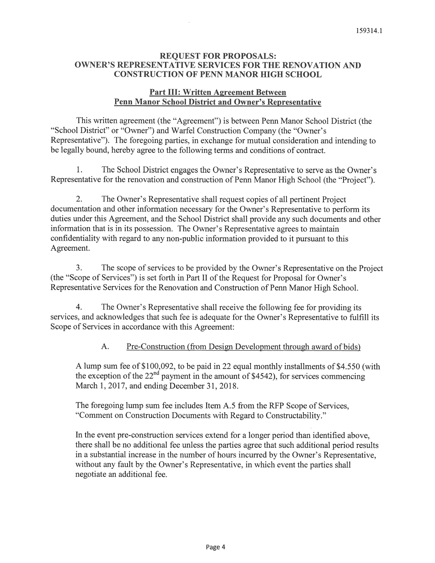## **REOUEST FOR PROPOSALS: OWNER'S REPRESENTATIVE SERVICES FOR THE RENOVATION AND CONSTRUCTION OF PENN MANOR HIGH SCHOOL**

## **Part III: Written Agreement Between Penn Manor School District and Owner's Representative**

This written agreement (the "Agreement") is between Penn Manor School District (the "School District" or "Owner") and Warfel Construction Company (the "Owner's Representative"). The foregoing parties, in exchange for mutual consideration and intending to be legally bound, hereby agree to the following terms and conditions of contract.

 $1<sub>1</sub>$ The School District engages the Owner's Representative to serve as the Owner's Representative for the renovation and construction of Penn Manor High School (the "Project").

2. The Owner's Representative shall request copies of all pertinent Project documentation and other information necessary for the Owner's Representative to perform its duties under this Agreement, and the School District shall provide any such documents and other information that is in its possession. The Owner's Representative agrees to maintain confidentiality with regard to any non-public information provided to it pursuant to this Agreement.

 $3<sub>1</sub>$ The scope of services to be provided by the Owner's Representative on the Project (the "Scope of Services") is set forth in Part II of the Request for Proposal for Owner's Representative Services for the Renovation and Construction of Penn Manor High School.

 $\overline{4}$ . The Owner's Representative shall receive the following fee for providing its services, and acknowledges that such fee is adequate for the Owner's Representative to fulfill its Scope of Services in accordance with this Agreement:

#### A. Pre-Construction (from Design Development through award of bids)

A lump sum fee of \$100,092, to be paid in 22 equal monthly installments of \$4.550 (with the exception of the  $22^{nd}$  payment in the amount of \$4542), for services commencing March 1, 2017, and ending December 31, 2018.

The foregoing lump sum fee includes Item A.5 from the RFP Scope of Services, "Comment on Construction Documents with Regard to Constructability."

In the event pre-construction services extend for a longer period than identified above. there shall be no additional fee unless the parties agree that such additional period results in a substantial increase in the number of hours incurred by the Owner's Representative. without any fault by the Owner's Representative, in which event the parties shall negotiate an additional fee.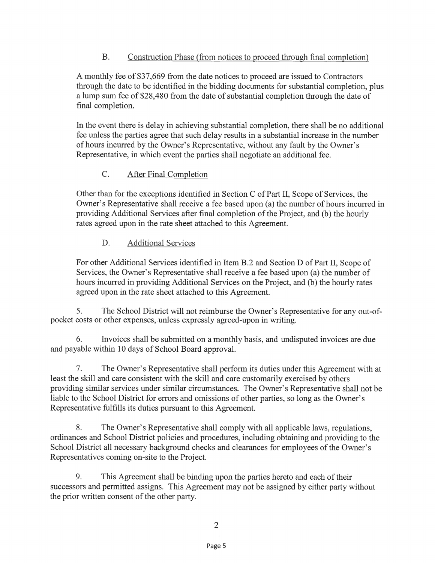#### $B.$ Construction Phase (from notices to proceed through final completion)

A monthly fee of \$37,669 from the date notices to proceed are issued to Contractors through the date to be identified in the bidding documents for substantial completion, plus a lump sum fee of \$28,480 from the date of substantial completion through the date of final completion.

In the event there is delay in achieving substantial completion, there shall be no additional fee unless the parties agree that such delay results in a substantial increase in the number of hours incurred by the Owner's Representative, without any fault by the Owner's Representative, in which event the parties shall negotiate an additional fee.

#### $C_{\cdot}$ After Final Completion

Other than for the exceptions identified in Section C of Part II, Scope of Services, the Owner's Representative shall receive a fee based upon (a) the number of hours incurred in providing Additional Services after final completion of the Project, and (b) the hourly rates agreed upon in the rate sheet attached to this Agreement.

#### D. **Additional Services**

For other Additional Services identified in Item B.2 and Section D of Part II, Scope of Services, the Owner's Representative shall receive a fee based upon (a) the number of hours incurred in providing Additional Services on the Project, and (b) the hourly rates agreed upon in the rate sheet attached to this Agreement.

5. The School District will not reimburse the Owner's Representative for any out-ofpocket costs or other expenses, unless expressly agreed-upon in writing.

6. Invoices shall be submitted on a monthly basis, and undisputed invoices are due and payable within 10 days of School Board approval.

 $7.$ The Owner's Representative shall perform its duties under this Agreement with at least the skill and care consistent with the skill and care customarily exercised by others providing similar services under similar circumstances. The Owner's Representative shall not be liable to the School District for errors and omissions of other parties, so long as the Owner's Representative fulfills its duties pursuant to this Agreement.

8. The Owner's Representative shall comply with all applicable laws, regulations, ordinances and School District policies and procedures, including obtaining and providing to the School District all necessary background checks and clearances for employees of the Owner's Representatives coming on-site to the Project.

9. This Agreement shall be binding upon the parties hereto and each of their successors and permitted assigns. This Agreement may not be assigned by either party without the prior written consent of the other party.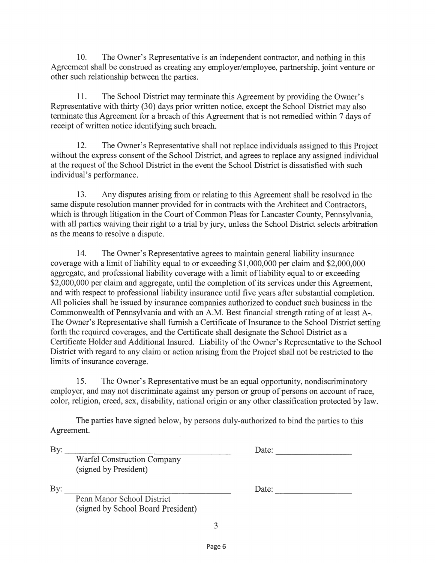The Owner's Representative is an independent contractor, and nothing in this  $10<sub>1</sub>$ Agreement shall be construed as creating any employer/employee, partnership, joint venture or other such relationship between the parties.

11. The School District may terminate this Agreement by providing the Owner's Representative with thirty (30) days prior written notice, except the School District may also terminate this Agreement for a breach of this Agreement that is not remedied within 7 days of receipt of written notice identifying such breach.

The Owner's Representative shall not replace individuals assigned to this Project 12. without the express consent of the School District, and agrees to replace any assigned individual at the request of the School District in the event the School District is dissatisfied with such individual's performance.

13. Any disputes arising from or relating to this Agreement shall be resolved in the same dispute resolution manner provided for in contracts with the Architect and Contractors. which is through litigation in the Court of Common Pleas for Lancaster County, Pennsylvania, with all parties waiving their right to a trial by jury, unless the School District selects arbitration as the means to resolve a dispute.

14. The Owner's Representative agrees to maintain general liability insurance coverage with a limit of liability equal to or exceeding \$1,000,000 per claim and \$2,000,000 aggregate, and professional liability coverage with a limit of liability equal to or exceeding \$2,000,000 per claim and aggregate, until the completion of its services under this Agreement, and with respect to professional liability insurance until five years after substantial completion. All policies shall be issued by insurance companies authorized to conduct such business in the Commonwealth of Pennsylvania and with an A.M. Best financial strength rating of at least A-. The Owner's Representative shall furnish a Certificate of Insurance to the School District setting forth the required coverages, and the Certificate shall designate the School District as a Certificate Holder and Additional Insured. Liability of the Owner's Representative to the School District with regard to any claim or action arising from the Project shall not be restricted to the limits of insurance coverage.

15. The Owner's Representative must be an equal opportunity, nondiscriminatory employer, and may not discriminate against any person or group of persons on account of race, color, religion, creed, sex, disability, national origin or any other classification protected by law.

The parties have signed below, by persons duly-authorized to bind the parties to this Agreement.

By:

Date:

Warfel Construction Company (signed by President)

By:

Penn Manor School District (signed by School Board President) Date: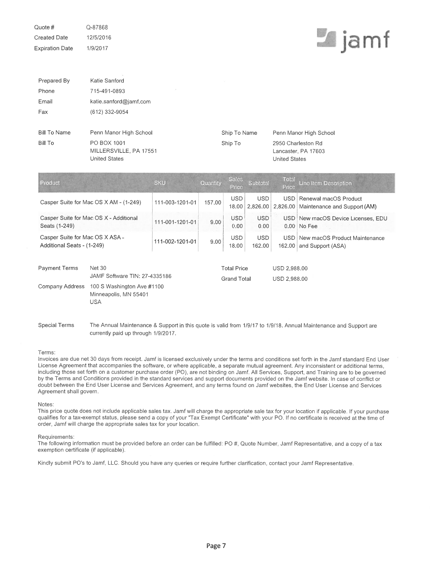Quote # Q-87868 Created Date 12/5/2016 **Expiration Date** 1/9/2017

# **Le** jamf

| Prepared By                                                   | Katie Sanford                                                                                                       |                 |                                          |                     |                              |                                                                   |                                                       |  |
|---------------------------------------------------------------|---------------------------------------------------------------------------------------------------------------------|-----------------|------------------------------------------|---------------------|------------------------------|-------------------------------------------------------------------|-------------------------------------------------------|--|
| Phone                                                         | 715-491-0893                                                                                                        |                 |                                          |                     |                              |                                                                   |                                                       |  |
| Email                                                         | katie.sanford@jamf.com                                                                                              |                 |                                          |                     |                              |                                                                   |                                                       |  |
| Fax                                                           | (612) 332-9054                                                                                                      |                 |                                          |                     |                              |                                                                   |                                                       |  |
| <b>Bill To Name</b>                                           | Penn Manor High School                                                                                              |                 |                                          | Ship To Name        |                              | Penn Manor High School                                            |                                                       |  |
| <b>Bill To</b>                                                | PO BOX 1001<br>MILLERSVILLE, PA 17551<br><b>United States</b>                                                       |                 |                                          | Ship To             |                              | 2950 Charleston Rd<br>Lancaster, PA 17603<br><b>United States</b> |                                                       |  |
| Product                                                       |                                                                                                                     | <b>SKU</b>      | Quantity                                 | Sales<br>Price      | Subtotal                     | Total<br>Price                                                    | <b>Line Item Description</b>                          |  |
|                                                               | Casper Suite for Mac OS X AM - (1-249)                                                                              | 111-003-1201-01 | 157.00                                   | <b>USD</b><br>18.00 | <b>USD</b><br>2,826.00       | <b>USD</b><br>2,826.00                                            | Renewal macOS Product<br>Maintenance and Support (AM) |  |
| Seats (1-249)                                                 | Casper Suite for Mac OS X - Additional                                                                              | 111-001-1201-01 | 9.00                                     | <b>USD</b><br>0.00  | <b>USD</b><br>0.00           |                                                                   | USD New macOS Device Licenses, EDU<br>0.00 No Fee     |  |
| Casper Suite for Mac OS X ASA -<br>Additional Seats - (1-249) |                                                                                                                     | 111-002-1201-01 | 9.00                                     | <b>USD</b><br>18.00 | <b>USD</b><br>162.00         | USD <sup>1</sup><br>162.00                                        | New macOS Product Maintenance<br>and Support (ASA)    |  |
| <b>Payment Terms</b><br>Company Address                       | <b>Net 30</b><br>JAMF Software TIN: 27-4335186<br>100 S Washington Ave #1100<br>Minneapolis, MN 55401<br><b>USA</b> |                 | <b>Total Price</b><br><b>Grand Total</b> |                     | USD 2,988.00<br>USD 2,988.00 |                                                                   |                                                       |  |

**Special Terms** The Annual Maintenance & Support in this quote is valid from 1/9/17 to 1/9/18. Annual Maintenance and Support are currently paid up through 1/9/2017.

### Terms:

Invoices are due net 30 days from receipt. Jamf is licensed exclusively under the terms and conditions set forth in the Jamf standard End User License Agreement that accompanies the software, or where applicable, a separate mutual agreement. Any inconsistent or additional terms, including those set forth on a customer purchase order (PO), are not binding on Jamf. All Services, Support, and Training are to be governed by the Terms and Conditions provided in the standard services and support documents provided on the Jamf website. In case of conflict or doubt between the End User License and Services Agreement, and any terms found on Jamf websites, the End User License and Services Agreement shall govern.

## Notes:

This price quote does not include applicable sales tax. Jamf will charge the appropriate sale tax for your location if applicable. If your purchase qualifies for a tax-exempt status, please send a copy of your "Tax Exempt Certificate" with your PO. If no certificate is received at the time of order, Jamf will charge the appropriate sales tax for your location.

## Requirements:

The following information must be provided before an order can be fulfilled: PO #, Quote Number, Jamf Representative, and a copy of a tax exemption certificate (if applicable).

Kindly submit PO's to Jamf, LLC. Should you have any queries or require further clarification, contact your Jamf Representative.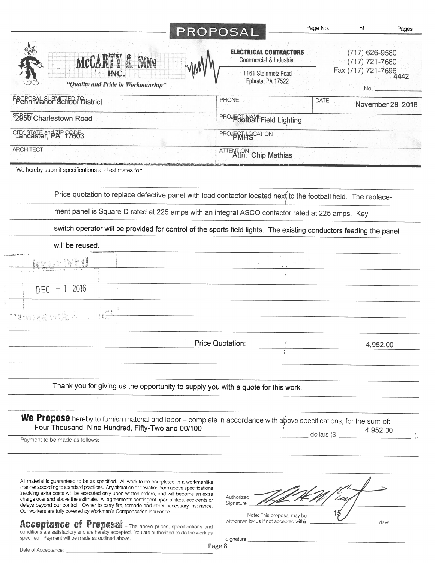|                                                                                                                                                                                                                                                                                                                                                                                                                                                                                                                                                                                                         | PROPOSAL                                                                                        | Page No.    | Οf                                 | Pages |
|---------------------------------------------------------------------------------------------------------------------------------------------------------------------------------------------------------------------------------------------------------------------------------------------------------------------------------------------------------------------------------------------------------------------------------------------------------------------------------------------------------------------------------------------------------------------------------------------------------|-------------------------------------------------------------------------------------------------|-------------|------------------------------------|-------|
| MCCARTY & SON                                                                                                                                                                                                                                                                                                                                                                                                                                                                                                                                                                                           | <b>ELECTRICAL CONTRACTORS</b><br>Commercial & Industrial                                        |             | $(717)$ 626-9580<br>(717) 721-7680 |       |
| "Quality and Pride in Workmanship"                                                                                                                                                                                                                                                                                                                                                                                                                                                                                                                                                                      | 1161 Steinmetz Road<br>Ephrata, PA 17522                                                        |             | Fax (717) 721-7696                 |       |
| <b>PBORRMaROP SCHOOL District</b>                                                                                                                                                                                                                                                                                                                                                                                                                                                                                                                                                                       | PHONE                                                                                           | <b>DATE</b> | November 28, 2016                  |       |
| 52956 Charlestown Road                                                                                                                                                                                                                                                                                                                                                                                                                                                                                                                                                                                  | PROJEC HAMFField Lighting                                                                       |             |                                    |       |
| <b>LIN STATE and AP F7663</b>                                                                                                                                                                                                                                                                                                                                                                                                                                                                                                                                                                           | <b>PROJECTLIQCATION</b>                                                                         |             |                                    |       |
| <b>ARCHITECT</b>                                                                                                                                                                                                                                                                                                                                                                                                                                                                                                                                                                                        | <b>ATTENTION</b> Chip Mathias                                                                   |             |                                    |       |
| We hereby submit specifications and estimates for:                                                                                                                                                                                                                                                                                                                                                                                                                                                                                                                                                      |                                                                                                 |             |                                    |       |
| Price quotation to replace defective panel with load contactor located next to the football field. The replace-                                                                                                                                                                                                                                                                                                                                                                                                                                                                                         |                                                                                                 |             |                                    |       |
| ment panel is Square D rated at 225 amps with an integral ASCO contactor rated at 225 amps. Key                                                                                                                                                                                                                                                                                                                                                                                                                                                                                                         |                                                                                                 |             |                                    |       |
| switch operator will be provided for control of the sports field lights. The existing conductors feeding the panel                                                                                                                                                                                                                                                                                                                                                                                                                                                                                      |                                                                                                 |             |                                    |       |
| will be reused.                                                                                                                                                                                                                                                                                                                                                                                                                                                                                                                                                                                         |                                                                                                 |             |                                    |       |
|                                                                                                                                                                                                                                                                                                                                                                                                                                                                                                                                                                                                         |                                                                                                 |             |                                    |       |
|                                                                                                                                                                                                                                                                                                                                                                                                                                                                                                                                                                                                         |                                                                                                 |             |                                    |       |
| 2016<br>DEC                                                                                                                                                                                                                                                                                                                                                                                                                                                                                                                                                                                             |                                                                                                 |             |                                    |       |
|                                                                                                                                                                                                                                                                                                                                                                                                                                                                                                                                                                                                         |                                                                                                 |             |                                    |       |
|                                                                                                                                                                                                                                                                                                                                                                                                                                                                                                                                                                                                         | Price Quotation:                                                                                |             | 4,952.00                           |       |
| Thank you for giving us the opportunity to supply you with a quote for this work.                                                                                                                                                                                                                                                                                                                                                                                                                                                                                                                       |                                                                                                 |             |                                    |       |
| We Propose hereby to furnish material and labor – complete in accordance with above specifications, for the sum of:<br>Four Thousand, Nine Hundred, Fifty-Two and 00/100                                                                                                                                                                                                                                                                                                                                                                                                                                |                                                                                                 | dollars (\$ | 4,952.00                           |       |
| Payment to be made as follows:                                                                                                                                                                                                                                                                                                                                                                                                                                                                                                                                                                          |                                                                                                 |             |                                    |       |
| All material is guaranteed to be as specified. All work to be completed in a workmanlike<br>manner according to standard practices. Any alteration or deviation from above specifications<br>involving extra costs will be executed only upon written orders, and will become an extra<br>charge over and above the estimate. All agreements contingent upon strikes, accidents or<br>delays beyond our control. Owner to carry fire, tornado and other necessary insurance.<br>Our workers are fully covered by Workman's Compensation Insurance.<br>Acceptance of Proposal The shove prices apodition | Authorized<br>Signature<br>Note: This proposal may be<br>withdrawn by us if not accepted within |             | days.                              |       |

**ACCEPTANCE OT FTOPOSAI** – The above prices, specifications and conditions are satisfactory and are hereby accepted. You are authorized to do the work as specified. Payment will be made as outlined above.

Signature \_ Page 8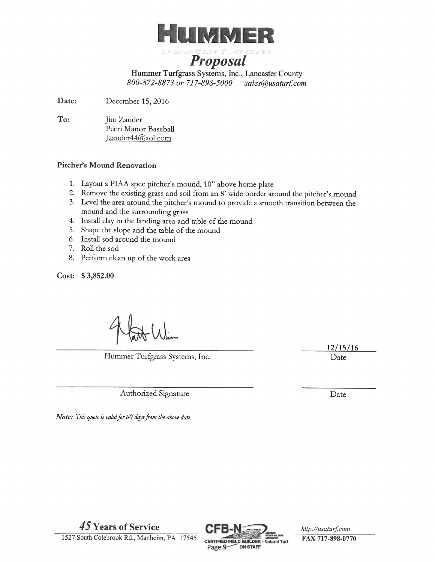

WEST COOL

**Proposal** Hummer Turfgrass Systems, Inc., Lancaster County

800-872-8873 or 717-898-5000 sales@usaturf.com

Date: December 15, 2016

To: Jim Zander Penn Manor Baseball Izander44@aol.com

## **Pitcher's Mound Renovation**

- 1. Layout a PIAA spec pitcher's mound, 10" above home plate
- 2. Remove the existing grass and soil from an 8' wide border around the pitcher's mound
- 3. Level the area around the pitcher's mound to provide a smooth transition between the mound and the surrounding grass
- 4. Install clay in the landing area and table of the mound
- 5. Shape the slope and the table of the mound
- 6. Install sod around the mound
- 7. Roll the sod
- 8. Perform clean up of the work area

Cost: \$3,852.00

Hummer Turfgrass Systems, Inc.

Authorized Signature

Note: This quote is valid for 60 days from the above date.



http://usaturf.com FAX 717-898-0770

1527 South Colebrook Rd., Manheim, PA 17545

45 Years of Service

 $12/15/16$ Date

Date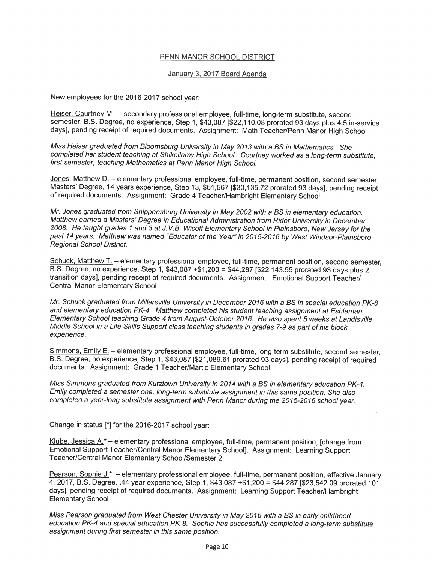## PENN MANOR SCHOOL DISTRICT

## January 3, 2017 Board Agenda

New employees for the 2016-2017 school year:

Heiser, Courtney M. - secondary professional employee, full-time, long-term substitute, second semester, B.S. Degree, no experience, Step 1, \$43,087 [\$22,110.08 prorated 93 days plus 4.5 in-service days], pending receipt of required documents. Assignment: Math Teacher/Penn Manor High School

Miss Heiser graduated from Bloomsburg University in May 2013 with a BS in Mathematics. She completed her student teaching at Shikellamy High School. Courtney worked as a long-term substitute. first semester, teaching Mathematics at Penn Manor High School.

Jones, Matthew D. - elementary professional employee, full-time, permanent position, second semester, Masters' Degree, 14 years experience, Step 13, \$61,567 [\$30,135.72 prorated 93 days], pending receipt of required documents. Assignment: Grade 4 Teacher/Hambright Elementary School

Mr. Jones graduated from Shippensburg University in May 2002 with a BS in elementary education. Matthew earned a Masters' Degree in Educational Administration from Rider University in December 2008. He taught grades 1 and 3 at J.V.B. Wicoff Elementary School in Plainsboro, New Jersey for the past 14 years. Matthew was named "Educator of the Year" in 2015-2016 by West Windsor-Plainsboro Regional School District.

Schuck, Matthew T. - elementary professional employee, full-time, permanent position, second semester, B.S. Degree, no experience, Step 1, \$43,087 +\$1,200 = \$44,287 [\$22,143.55 prorated 93 days plus 2 transition days], pending receipt of required documents. Assignment: Emotional Support Teacher/ **Central Manor Elementary School** 

Mr. Schuck graduated from Millersville University in December 2016 with a BS in special education PK-8 and elementary education PK-4. Matthew completed his student teaching assignment at Eshleman Elementary School teaching Grade 4 from August-October 2016. He also spent 5 weeks at Landisville Middle School in a Life Skills Support class teaching students in grades 7-9 as part of his block experience.

Simmons, Emily E. - elementary professional employee, full-time, long-term substitute, second semester, B.S. Degree, no experience, Step 1, \$43,087 [\$21,089.61 prorated 93 days], pending receipt of required documents. Assignment: Grade 1 Teacher/Martic Elementary School

Miss Simmons graduated from Kutztown University in 2014 with a BS in elementary education PK-4. Emily completed a semester one, long-term substitute assignment in this same position. She also completed a year-long substitute assignment with Penn Manor during the 2015-2016 school year.

Change in status [\*] for the 2016-2017 school year:

Klube, Jessica A.\* - elementary professional employee, full-time, permanent position, [change from Emotional Support Teacher/Central Manor Elementary School]. Assignment: Learning Support Teacher/Central Manor Elementary School/Semester 2

Pearson, Sophie J.\* - elementary professional employee, full-time, permanent position, effective January 4, 2017, B.S. Degree, .44 year experience, Step 1, \$43,087 +\$1,200 = \$44,287 [\$23,542,09 prorated 101 days], pending receipt of required documents. Assignment: Learning Support Teacher/Hambright **Elementary School** 

Miss Pearson graduated from West Chester University in May 2016 with a BS in early childhood education PK-4 and special education PK-8. Sophie has successfully completed a long-term substitute assignment during first semester in this same position.